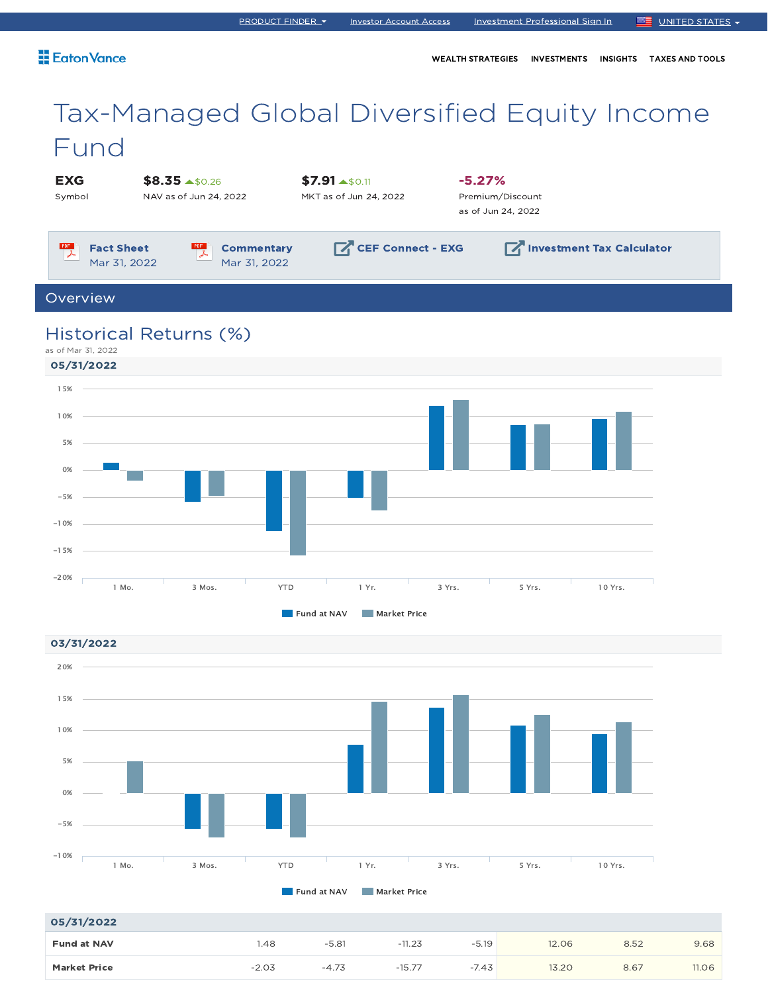### Eaton Vance

WEALTH STRATEGIES INVESTMENTS INSIGHTS TAXES AND TOOLS

# Tax-Managed Global Diversified Equity Income Fund

EXG Symbol \$8.35  $\blacktriangle$ \$0.26 NAV as of Jun 24, 2022

 $$7.91 \rightarrow $0.11$ 

MKT as of Jun 24, 2022

-5.27% Premium/Discount as of Jun 24, 2022

 $PDF$ Fact Sheet 仄 Mar 31, 2022

PDF **Commentary** Mar 31, 2022

 $\nabla$ CEF Connect - EXG  $\nabla$  Investment Tax Calculator

Overview

### Historical Returns (%)

as of Mar 31, 2022





#### 05/31/2022

| 05/31/2022          |         |         |          |         |       |      |       |
|---------------------|---------|---------|----------|---------|-------|------|-------|
| <b>Fund at NAV</b>  | . 48    | $-5.81$ | $-11.23$ | $-5.19$ | 12.06 | 8.52 | 9.68  |
| <b>Market Price</b> | $-2.03$ | $-4.73$ | $-15.77$ | $-7.43$ | 13.20 | 8.67 | 11.06 |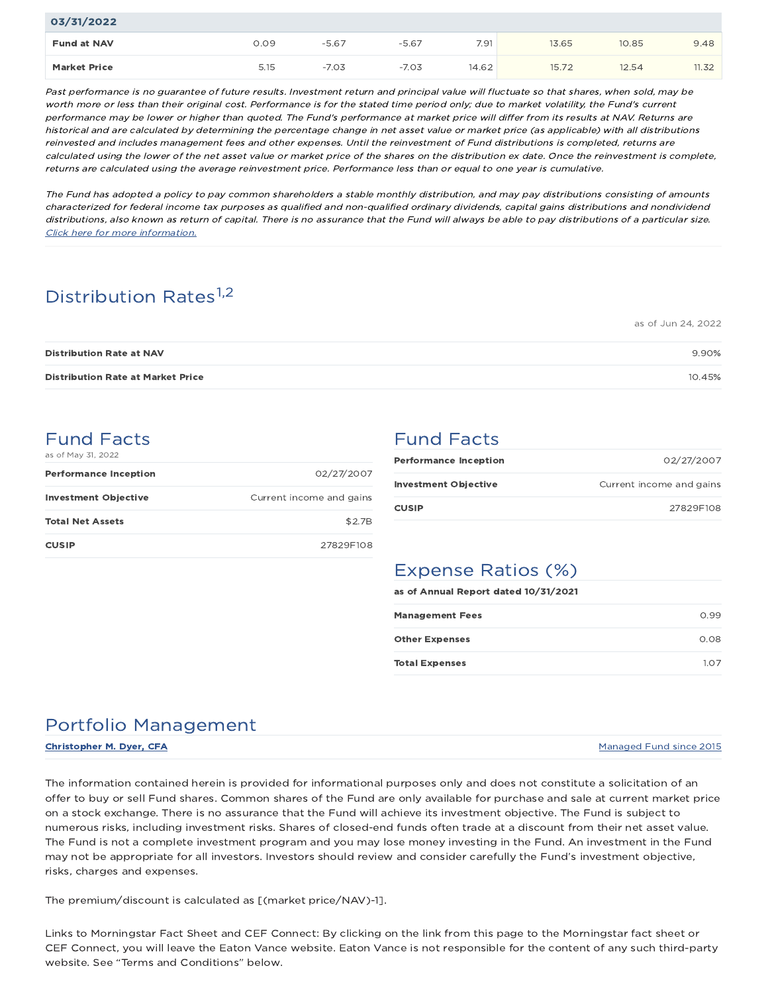| 03/31/2022          |      |         |         |       |       |       |       |
|---------------------|------|---------|---------|-------|-------|-------|-------|
| <b>Fund at NAV</b>  | 0.09 | $-5.67$ | $-5.67$ | 7.91  | 13.65 | 10.85 | 9.48  |
| <b>Market Price</b> | 5.15 | $-7.03$ | $-7.03$ | 14.62 | 15.72 | 12.54 | 11.32 |

Past performance is no guarantee of future results. Investment return and principal value will fluctuate so that shares, when sold, may be worth more or less than their original cost. Performance is for the stated time period only; due to market volatility, the Fund's current performance may be lower or higher than quoted. The Fund's performance at market price will differ from its results at NAV. Returns are historical and are calculated by determining the percentage change in net asset value or market price (as applicable) with all distributions reinvested and includes management fees and other expenses. Until the reinvestment of Fund distributions is completed, returns are calculated using the lower of the net asset value or market price of the shares on the distribution ex date. Once the reinvestment is complete, returns are calculated using the average reinvestment price. Performance less than or equal to one year is cumulative.

The Fund has adopted a policy to pay common shareholders a stable monthly distribution, and may pay distributions consisting of amounts characterized for federal income tax purposes as qualified and non-qualified ordinary dividends, capital gains distributions and nondividend distributions, also known as return of capital. There is no assurance that the Fund will always be able to pay distributions of <sup>a</sup> particular size. Click here for more information.

# Distribution Rates<sup>1,2</sup>

| <b>Distribution Rate at NAV</b>          | 9.90%  |
|------------------------------------------|--------|
| <b>Distribution Rate at Market Price</b> | 10.45% |

### Fund Facts as of May 31, 2022

| <b>Performance Inception</b> | 02/27/2007               |
|------------------------------|--------------------------|
| <b>Investment Objective</b>  | Current income and gains |
| <b>Total Net Assets</b>      | \$2.7B                   |
| <b>CUSIP</b>                 | 27829F108                |

## Fund Facts

| <b>Performance Inception</b> | 02/27/2007               |
|------------------------------|--------------------------|
| <b>Investment Objective</b>  | Current income and gains |
| <b>CUSIP</b>                 | 27829F108                |

as of Jun 24, 2022

## Expense Ratios (%)

as of Annual Report dated 10/31/2021

| <b>Management Fees</b> | 0.99 |
|------------------------|------|
| <b>Other Expenses</b>  | 0.08 |
| <b>Total Expenses</b>  | 1.07 |

# Portfolio Management

Christopher M. Dyer, CFA Managed Fund since 2015

The information contained herein is provided for informational purposes only and does not constitute a solicitation of an offer to buy or sell Fund shares. Common shares of the Fund are only available for purchase and sale at current market price on a stock exchange. There is no assurance that the Fund will achieve its investment objective. The Fund is subject to numerous risks, including investment risks. Shares of closed-end funds often trade at a discount from their net asset value. The Fund is not a complete investment program and you may lose money investing in the Fund. An investment in the Fund may not be appropriate for all investors. Investors should review and consider carefully the Fund's investment objective, risks, charges and expenses.

The premium/discount is calculated as [(market price/NAV)-1].

Links to Morningstar Fact Sheet and CEF Connect: By clicking on the link from this page to the Morningstar fact sheet or CEF Connect, you will leave the Eaton Vance website. Eaton Vance is not responsible for the content of any such third-party website. See "Terms and Conditions" below.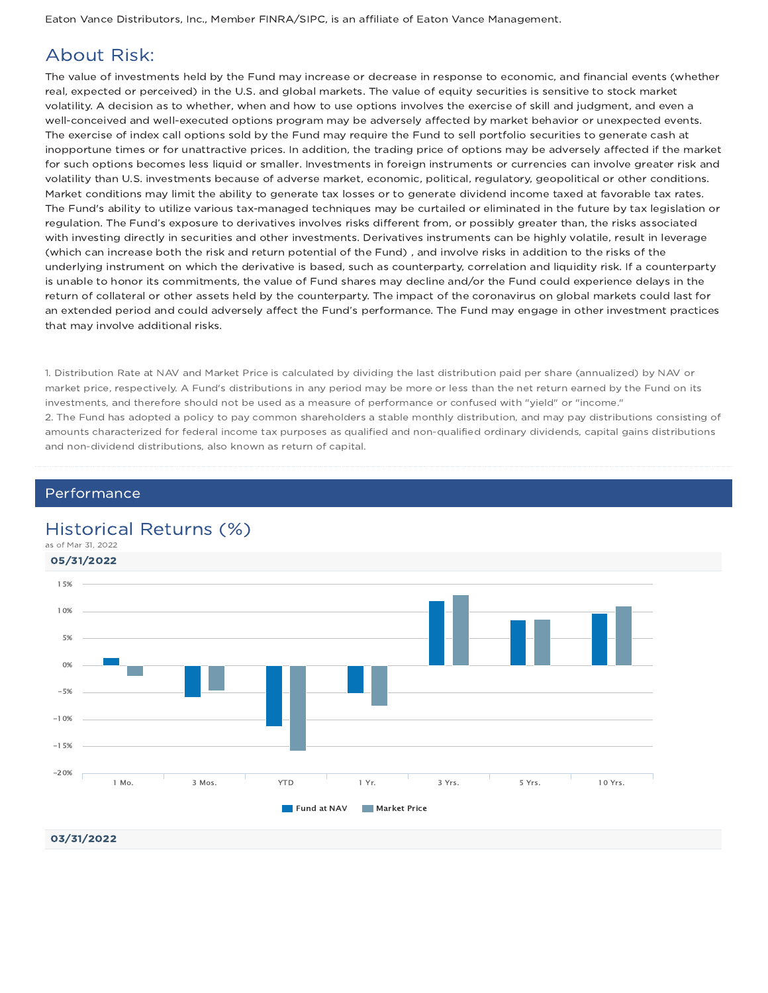Eaton Vance Distributors, Inc., Member FINRA/SIPC, is an affiliate of Eaton Vance Management.

### About Risk:

The value of investments held by the Fund may increase or decrease in response to economic, and financial events (whether real, expected or perceived) in the U.S. and global markets. The value of equity securities is sensitive to stock market volatility. A decision as to whether, when and how to use options involves the exercise of skill and judgment, and even a well-conceived and well-executed options program may be adversely affected by market behavior or unexpected events. The exercise of index call options sold by the Fund may require the Fund to sell portfolio securities to generate cash at inopportune times or for unattractive prices. In addition, the trading price of options may be adversely affected if the market for such options becomes less liquid or smaller. Investments in foreign instruments or currencies can involve greater risk and volatility than U.S. investments because of adverse market, economic, political, regulatory, geopolitical or other conditions. Market conditions may limit the ability to generate tax losses or to generate dividend income taxed at favorable tax rates. The Fund's ability to utilize various tax-managed techniques may be curtailed or eliminated in the future by tax legislation or regulation. The Fund's exposure to derivatives involves risks different from, or possibly greater than, the risks associated with investing directly in securities and other investments. Derivatives instruments can be highly volatile, result in leverage (which can increase both the risk and return potential of the Fund) , and involve risks in addition to the risks of the underlying instrument on which the derivative is based, such as counterparty, correlation and liquidity risk. If a counterparty is unable to honor its commitments, the value of Fund shares may decline and/or the Fund could experience delays in the return of collateral or other assets held by the counterparty. The impact of the coronavirus on global markets could last for an extended period and could adversely affect the Fund's performance. The Fund may engage in other investment practices that may involve additional risks.

1. Distribution Rate at NAV and Market Price is calculated by dividing the last distribution paid per share (annualized) by NAV or market price, respectively. A Fund's distributions in any period may be more or less than the net return earned by the Fund on its investments, and therefore should not be used as a measure of performance or confused with "yield" or "income." 2. The Fund has adopted a policy to pay common shareholders a stable monthly distribution, and may pay distributions consisting of amounts characterized for federal income tax purposes as qualified and non-qualified ordinary dividends, capital gains distributions and non-dividend distributions, also known as return of capital.

### Performance

### Historical Returns (%)

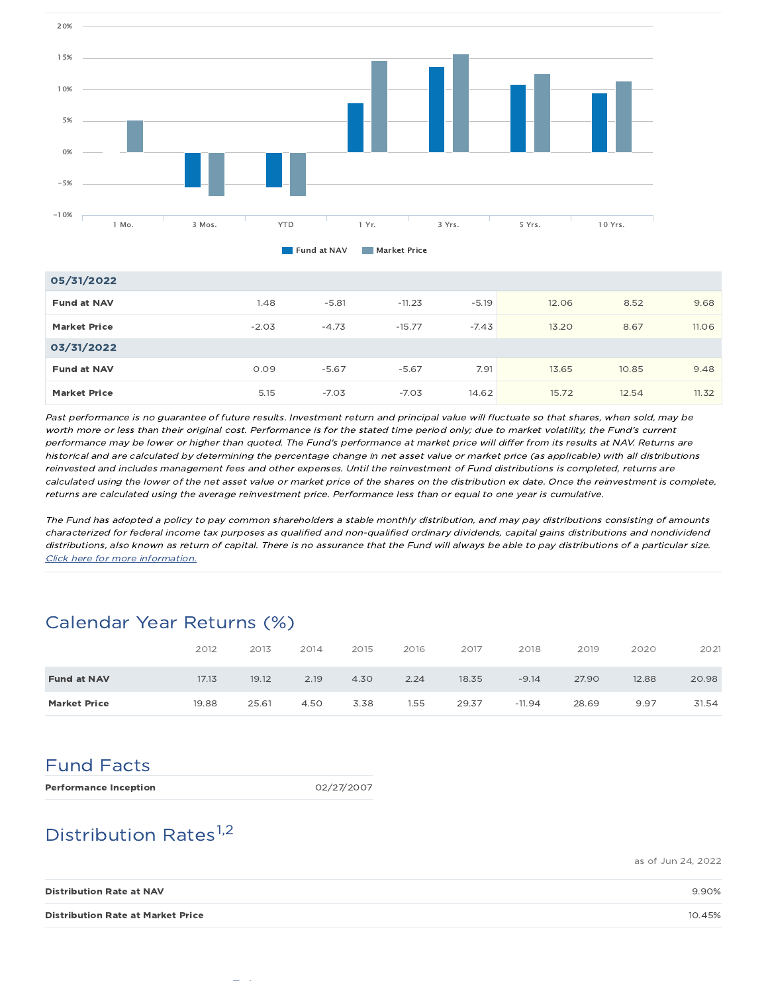

| 05/31/2022          |         |         |          |         |       |       |       |
|---------------------|---------|---------|----------|---------|-------|-------|-------|
| <b>Fund at NAV</b>  | 1.48    | $-5.81$ | $-11.23$ | $-5.19$ | 12.06 | 8.52  | 9.68  |
| <b>Market Price</b> | $-2.03$ | $-4.73$ | $-15.77$ | $-7.43$ | 13.20 | 8.67  | 11.06 |
| 03/31/2022          |         |         |          |         |       |       |       |
| <b>Fund at NAV</b>  | 0.09    | $-5.67$ | $-5.67$  | 7.91    | 13.65 | 10.85 | 9.48  |
| <b>Market Price</b> | 5.15    | $-7.03$ | $-7.03$  | 14.62   | 15.72 | 12.54 | 11.32 |

Past performance is no guarantee of future results. Investment return and principal value will fluctuate so that shares, when sold, may be worth more or less than their original cost. Performance is for the stated time period only; due to market volatility, the Fund's current performance may be lower or higher than quoted. The Fund's performance at market price will differ from its results at NAV. Returns are historical and are calculated by determining the percentage change in net asset value or market price (as applicable) with all distributions reinvested and includes management fees and other expenses. Until the reinvestment of Fund distributions is completed, returns are calculated using the lower of the net asset value or market price of the shares on the distribution ex date. Once the reinvestment is complete, returns are calculated using the average reinvestment price. Performance less than or equal to one year is cumulative.

The Fund has adopted a policy to pay common shareholders a stable monthly distribution, and may pay distributions consisting of amounts characterized for federal income tax purposes as qualified and non-qualified ordinary dividends, capital gains distributions and nondividend distributions, also known as return of capital. There is no assurance that the Fund will always be able to pay distributions of <sup>a</sup> particular size. Click here for more information.

## Calendar Year Returns (%)

|                     | 2012  | 2013  | 2014 | 2015 | 2016 | 2017  | 2018     | 2019  | 2020  | 2021  |
|---------------------|-------|-------|------|------|------|-------|----------|-------|-------|-------|
| <b>Fund at NAV</b>  | 17.13 | 19.12 | 2.19 | 4.30 | 2.24 | 18.35 | $-9.14$  | 27.90 | 12.88 | 20.98 |
| <b>Market Price</b> | 19.88 | 25.61 | 4.50 | 3.38 | 1.55 | 29.37 | $-11.94$ | 28.69 | 9.97  | 31.54 |

# Fund Facts

Performance Inception 02/27/2007

# Distribution Rates<sup>1,2</sup>

as of Jun 24, 2022

| <b>Distribution Rate at NAV</b>          | 9.90%  |
|------------------------------------------|--------|
| <b>Distribution Rate at Market Price</b> | 10.45% |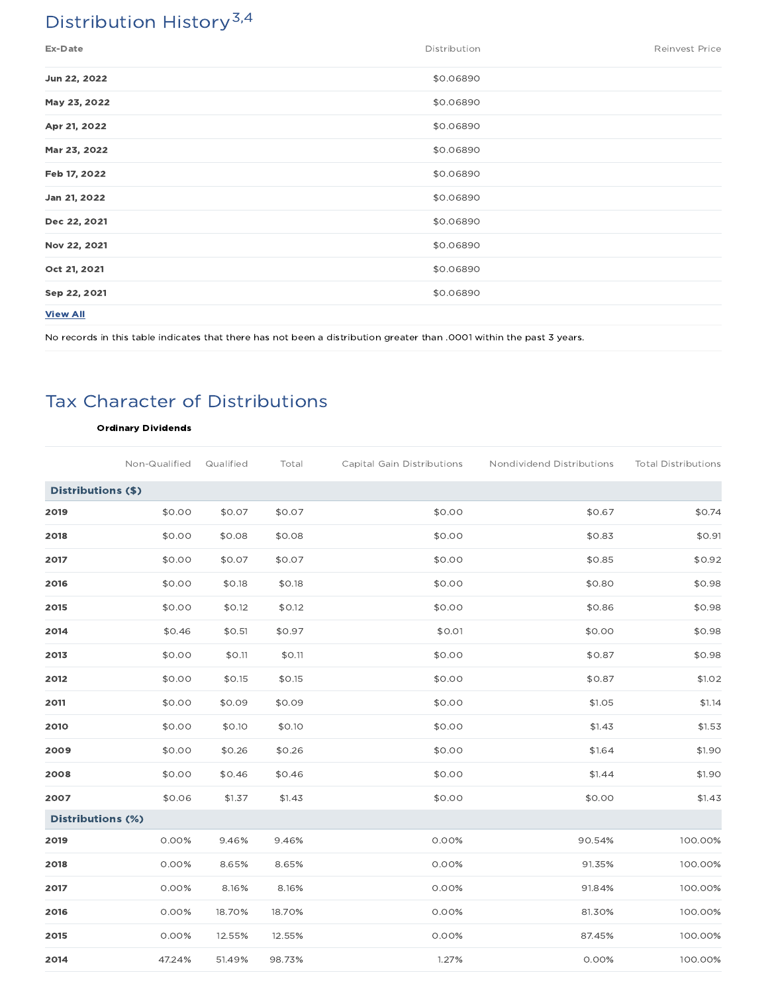# Distribution History<sup>3,4</sup>

| Ex-Date         | Distribution | <b>Reinvest Price</b> |
|-----------------|--------------|-----------------------|
| Jun 22, 2022    | \$0.06890    |                       |
| May 23, 2022    | \$0.06890    |                       |
| Apr 21, 2022    | \$0.06890    |                       |
| Mar 23, 2022    | \$0.06890    |                       |
| Feb 17, 2022    | \$0.06890    |                       |
| Jan 21, 2022    | \$0.06890    |                       |
| Dec 22, 2021    | \$0.06890    |                       |
| Nov 22, 2021    | \$0.06890    |                       |
| Oct 21, 2021    | \$0.06890    |                       |
| Sep 22, 2021    | \$0.06890    |                       |
| <b>View All</b> |              |                       |

No records in this table indicates that there has not been a distribution greater than .0001 within the past 3 years.

# Tax Character of Distributions

#### Ordinary Dividends

|                          | Non-Qualified | Qualified | Total  | Capital Gain Distributions | Nondividend Distributions | <b>Total Distributions</b> |
|--------------------------|---------------|-----------|--------|----------------------------|---------------------------|----------------------------|
| Distributions (\$)       |               |           |        |                            |                           |                            |
| 2019                     | \$0.00        | \$0.07    | \$0.07 | \$0.00                     | \$0.67                    | \$0.74                     |
| 2018                     | \$0.00        | \$0.08    | \$0.08 | \$0.00                     | \$0.83                    | \$0.91                     |
| 2017                     | \$0.00        | \$0.07    | \$0.07 | \$0.00                     | \$0.85                    | \$0.92                     |
| 2016                     | \$0.00        | \$0.18    | \$0.18 | \$0.00                     | \$0.80                    | \$0.98                     |
| 2015                     | \$0.00        | \$0.12    | \$0.12 | \$0.00                     | \$0.86                    | \$0.98                     |
| 2014                     | \$0.46        | \$0.51    | \$0.97 | \$0.01                     | \$0.00                    | \$0.98                     |
| 2013                     | \$0.00        | \$0.11    | \$0.11 | \$0.00                     | \$0.87                    | \$0.98                     |
| 2012                     | \$0.00        | \$0.15    | \$0.15 | \$0.00                     | \$0.87                    | \$1.02                     |
| 2011                     | \$0.00        | \$0.09    | \$0.09 | \$0.00                     | \$1.05                    | \$1.14                     |
| 2010                     | \$0.00        | \$0.10    | \$0.10 | \$0.00                     | \$1.43                    | \$1.53                     |
| 2009                     | \$0.00        | \$0.26    | \$0.26 | \$0.00                     | \$1.64                    | \$1.90                     |
| 2008                     | \$0.00        | \$0.46    | \$0.46 | \$0.00                     | \$1.44                    | \$1.90                     |
| 2007                     | \$0.06        | \$1.37    | \$1.43 | \$0.00                     | \$0.00                    | \$1.43                     |
| <b>Distributions (%)</b> |               |           |        |                            |                           |                            |
| 2019                     | 0.00%         | 9.46%     | 9.46%  | 0.00%                      | 90.54%                    | 100.00%                    |
| 2018                     | 0.00%         | 8.65%     | 8.65%  | 0.00%                      | 91.35%                    | 100.00%                    |
| 2017                     | 0.00%         | 8.16%     | 8.16%  | 0.00%                      | 91.84%                    | 100.00%                    |
| 2016                     | 0.00%         | 18.70%    | 18.70% | 0.00%                      | 81.30%                    | 100.00%                    |
| 2015                     | 0.00%         | 12.55%    | 12.55% | 0.00%                      | 87.45%                    | 100.00%                    |
| 2014                     | 47.24%        | 51.49%    | 98.73% | 1.27%                      | 0.00%                     | 100.00%                    |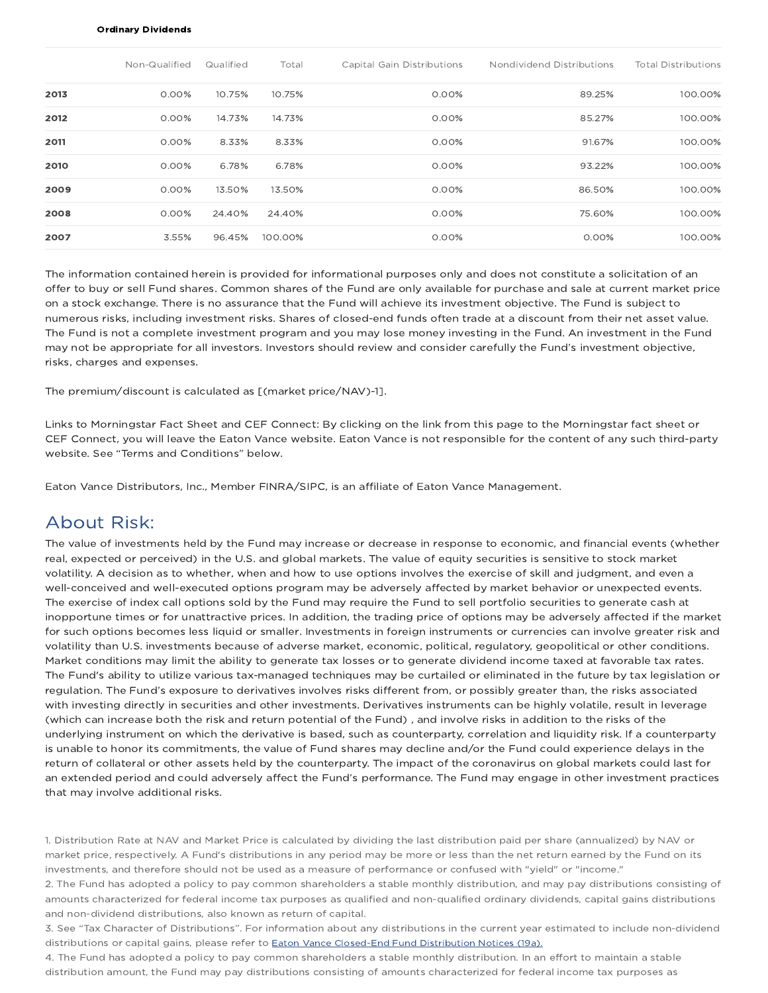#### Ordinary Dividends

|      | Non-Qualified | Qualified | Total   | Capital Gain Distributions | Nondividend Distributions | <b>Total Distributions</b> |
|------|---------------|-----------|---------|----------------------------|---------------------------|----------------------------|
| 2013 | $0.00\%$      | 10.75%    | 10.75%  | 0.00%                      | 89.25%                    | 100.00%                    |
| 2012 | $0.00\%$      | 14.73%    | 14.73%  | 0.00%                      | 85.27%                    | 100.00%                    |
| 2011 | $0.00\%$      | 8.33%     | 8.33%   | 0.00%                      | 91.67%                    | 100.00%                    |
| 2010 | $0.00\%$      | 6.78%     | 6.78%   | 0.00%                      | 93.22%                    | 100.00%                    |
| 2009 | 0.00%         | 13.50%    | 13.50%  | 0.00%                      | 86.50%                    | 100.00%                    |
| 2008 | $0.00\%$      | 24.40%    | 24.40%  | 0.00%                      | 75.60%                    | 100.00%                    |
| 2007 | 3.55%         | 96.45%    | 100.00% | 0.00%                      | 0.00%                     | 100.00%                    |

The information contained herein is provided for informational purposes only and does not constitute a solicitation of an offer to buy or sell Fund shares. Common shares of the Fund are only available for purchase and sale at current market price on a stock exchange. There is no assurance that the Fund will achieve its investment objective. The Fund is subject to numerous risks, including investment risks. Shares of closed-end funds often trade at a discount from their net asset value. The Fund is not a complete investment program and you may lose money investing in the Fund. An investment in the Fund may not be appropriate for all investors. Investors should review and consider carefully the Fund's investment objective, risks, charges and expenses.

The premium/discount is calculated as [(market price/NAV)-1].

Links to Morningstar Fact Sheet and CEF Connect: By clicking on the link from this page to the Morningstar fact sheet or CEF Connect, you will leave the Eaton Vance website. Eaton Vance is not responsible for the content of any such third-party website. See "Terms and Conditions" below.

Eaton Vance Distributors, Inc., Member FINRA/SIPC, is an affiliate of Eaton Vance Management.

### About Risk:

The value of investments held by the Fund may increase or decrease in response to economic, and financial events (whether real, expected or perceived) in the U.S. and global markets. The value of equity securities is sensitive to stock market volatility. A decision as to whether, when and how to use options involves the exercise of skill and judgment, and even a well-conceived and well-executed options program may be adversely affected by market behavior or unexpected events. The exercise of index call options sold by the Fund may require the Fund to sell portfolio securities to generate cash at inopportune times or for unattractive prices. In addition, the trading price of options may be adversely affected if the market for such options becomes less liquid or smaller. Investments in foreign instruments or currencies can involve greater risk and volatility than U.S. investments because of adverse market, economic, political, regulatory, geopolitical or other conditions. Market conditions may limit the ability to generate tax losses or to generate dividend income taxed at favorable tax rates. The Fund's ability to utilize various tax-managed techniques may be curtailed or eliminated in the future by tax legislation or regulation. The Fund's exposure to derivatives involves risks different from, or possibly greater than, the risks associated with investing directly in securities and other investments. Derivatives instruments can be highly volatile, result in leverage (which can increase both the risk and return potential of the Fund) , and involve risks in addition to the risks of the underlying instrument on which the derivative is based, such as counterparty, correlation and liquidity risk. If a counterparty is unable to honor its commitments, the value of Fund shares may decline and/or the Fund could experience delays in the return of collateral or other assets held by the counterparty. The impact of the coronavirus on global markets could last for an extended period and could adversely affect the Fund's performance. The Fund may engage in other investment practices that may involve additional risks.

1. Distribution Rate at NAV and Market Price is calculated by dividing the last distribution paid per share (annualized) by NAV or market price, respectively. A Fund's distributions in any period may be more or less than the net return earned by the Fund on its investments, and therefore should not be used as a measure of performance or confused with "yield" or "income."

2. The Fund has adopted a policy to pay common shareholders a stable monthly distribution, and may pay distributions consisting of amounts characterized for federal income tax purposes as qualified and non-qualified ordinary dividends, capital gains distributions and non-dividend distributions, also known as return of capital.

3. See "Tax Character of Distributions". For information about any distributions in the current year estimated to include non-dividend distributions or capital gains, please refer to **Eaton Vance Closed-End Fund Distribution Notices (19a).** 

4. The Fund has adopted a policy to pay common shareholders a stable monthly distribution. In an effort to maintain a stable distribution amount, the Fund may pay distributions consisting of amounts characterized for federal income tax purposes as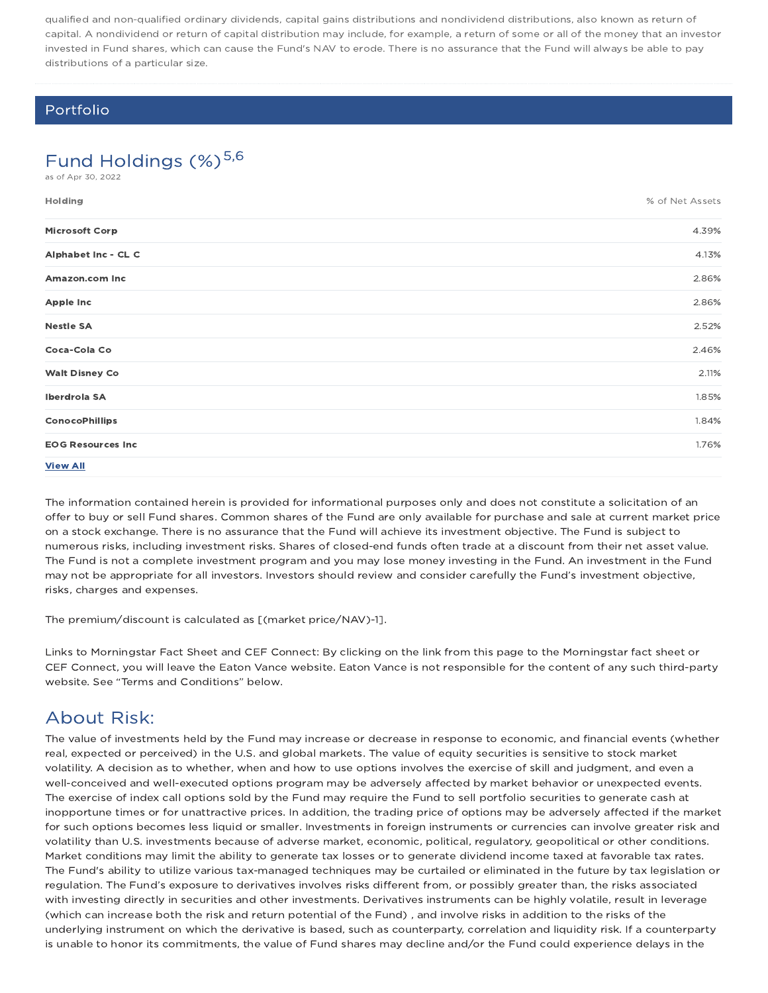qualified and non-qualified ordinary dividends, capital gains distributions and nondividend distributions, also known as return of capital. A nondividend or return of capital distribution may include, for example, a return of some or all of the money that an investor invested in Fund shares, which can cause the Fund's NAV to erode. There is no assurance that the Fund will always be able to pay distributions of a particular size.

### Portfolio

### Fund Holdings  $(\%)^{5,6}$

as of Apr 30, 2022

| Holding                  | % of Net Assets |
|--------------------------|-----------------|
| <b>Microsoft Corp</b>    | 4.39%           |
| Alphabet Inc - CL C      | 4.13%           |
| Amazon.com Inc           | 2.86%           |
| Apple Inc                | 2.86%           |
| <b>Nestle SA</b>         | 2.52%           |
| Coca-Cola Co             | 2.46%           |
| <b>Walt Disney Co</b>    | 2.11%           |
| Iberdrola SA             | 1.85%           |
| <b>ConocoPhillips</b>    | 1.84%           |
| <b>EOG Resources Inc</b> | 1.76%           |
| <b>View All</b>          |                 |

The information contained herein is provided for informational purposes only and does not constitute a solicitation of an offer to buy or sell Fund shares. Common shares of the Fund are only available for purchase and sale at current market price on a stock exchange. There is no assurance that the Fund will achieve its investment objective. The Fund is subject to numerous risks, including investment risks. Shares of closed-end funds often trade at a discount from their net asset value. The Fund is not a complete investment program and you may lose money investing in the Fund. An investment in the Fund may not be appropriate for all investors. Investors should review and consider carefully the Fund's investment objective, risks, charges and expenses.

The premium/discount is calculated as [(market price/NAV)-1].

Links to Morningstar Fact Sheet and CEF Connect: By clicking on the link from this page to the Morningstar fact sheet or CEF Connect, you will leave the Eaton Vance website. Eaton Vance is not responsible for the content of any such third-party website. See "Terms and Conditions" below.

## About Risk:

The value of investments held by the Fund may increase or decrease in response to economic, and financial events (whether real, expected or perceived) in the U.S. and global markets. The value of equity securities is sensitive to stock market volatility. A decision as to whether, when and how to use options involves the exercise of skill and judgment, and even a well-conceived and well-executed options program may be adversely affected by market behavior or unexpected events. The exercise of index call options sold by the Fund may require the Fund to sell portfolio securities to generate cash at inopportune times or for unattractive prices. In addition, the trading price of options may be adversely affected if the market for such options becomes less liquid or smaller. Investments in foreign instruments or currencies can involve greater risk and volatility than U.S. investments because of adverse market, economic, political, regulatory, geopolitical or other conditions. Market conditions may limit the ability to generate tax losses or to generate dividend income taxed at favorable tax rates. The Fund's ability to utilize various tax-managed techniques may be curtailed or eliminated in the future by tax legislation or regulation. The Fund's exposure to derivatives involves risks different from, or possibly greater than, the risks associated with investing directly in securities and other investments. Derivatives instruments can be highly volatile, result in leverage (which can increase both the risk and return potential of the Fund) , and involve risks in addition to the risks of the underlying instrument on which the derivative is based, such as counterparty, correlation and liquidity risk. If a counterparty is unable to honor its commitments, the value of Fund shares may decline and/or the Fund could experience delays in the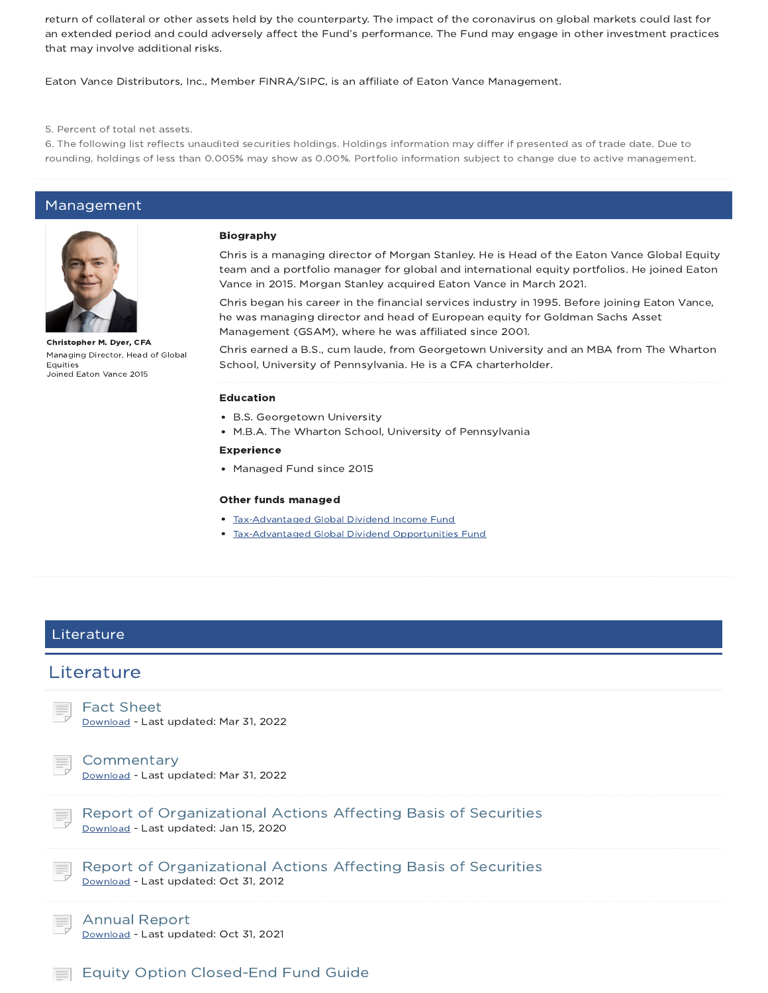return of collateral or other assets held by the counterparty. The impact of the coronavirus on global markets could last for an extended period and could adversely affect the Fund's performance. The Fund may engage in other investment practices that may involve additional risks.

Eaton Vance Distributors, Inc., Member FINRA/SIPC, is an affiliate of Eaton Vance Management.

5. Percent of total net assets.

6. The following list reflects unaudited securities holdings. Holdings information may differ if presented as of trade date. Due to rounding, holdings of less than 0.005% may show as 0.00%. Portfolio information subject to change due to active management.

#### Management



Christopher M. Dyer, CFA Managing Director, Head of Global **Equities** Joined Eaton Vance 2015

#### Biography

Chris is a managing director of Morgan Stanley. He is Head of the Eaton Vance Global Equity team and a portfolio manager for global and international equity portfolios. He joined Eaton Vance in 2015. Morgan Stanley acquired Eaton Vance in March 2021.

Chris began his career in the financial services industry in 1995. Before joining Eaton Vance, he was managing director and head of European equity for Goldman Sachs Asset Management (GSAM), where he was affiliated since 2001.

Chris earned a B.S., cum laude, from Georgetown University and an MBA from The Wharton School, University of Pennsylvania. He is a CFA charterholder.

#### Education

- B.S. Georgetown University
- M.B.A. The Wharton School, University of Pennsylvania

#### Experience

• Managed Fund since 2015

#### Other funds managed

- **Tax-Advantaged Global Dividend Income Fund**
- Tax-Advantaged Global Dividend Opportunities Fund

### Literature

### Literature

Fact Sheet

Download - Last updated: Mar 31, 2022

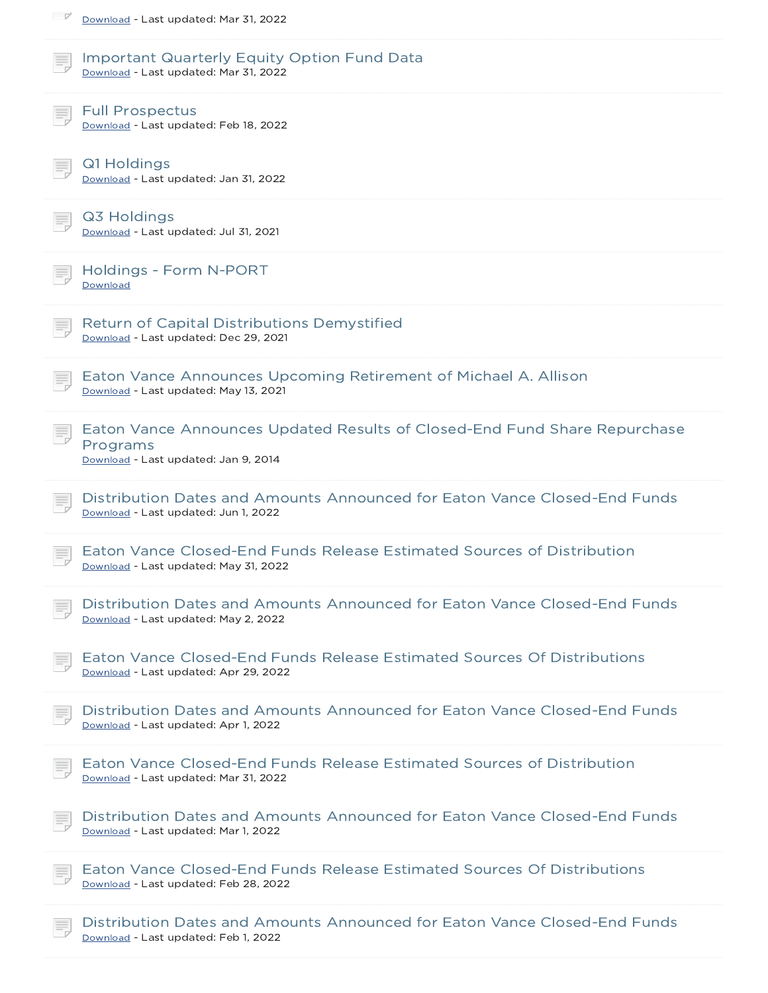| <u>I</u><br>Download - Last updated: Mar 31, 2022                                                                             |
|-------------------------------------------------------------------------------------------------------------------------------|
| <b>Important Quarterly Equity Option Fund Data</b><br>Download - Last updated: Mar 31, 2022                                   |
| <b>Full Prospectus</b><br>Download - Last updated: Feb 18, 2022                                                               |
| Q1 Holdings<br>Download - Last updated: Jan 31, 2022                                                                          |
| Q3 Holdings<br>Download - Last updated: Jul 31, 2021                                                                          |
| Holdings - Form N-PORT<br>Download                                                                                            |
| <b>Return of Capital Distributions Demystified</b><br>Download - Last updated: Dec 29, 2021                                   |
| Eaton Vance Announces Upcoming Retirement of Michael A. Allison<br>Download - Last updated: May 13, 2021                      |
| Eaton Vance Announces Updated Results of Closed-End Fund Share Repurchase<br>Programs<br>Download - Last updated: Jan 9, 2014 |
| Distribution Dates and Amounts Announced for Eaton Vance Closed-End Funds<br>Download - Last updated: Jun 1, 2022             |
| Eaton Vance Closed-End Funds Release Estimated Sources of Distribution<br>Download - Last updated: May 31, 2022               |
| Distribution Dates and Amounts Announced for Eaton Vance Closed-End Funds<br>Download - Last updated: May 2, 2022             |
| Eaton Vance Closed-End Funds Release Estimated Sources Of Distributions<br>Download - Last updated: Apr 29, 2022              |
| Distribution Dates and Amounts Announced for Eaton Vance Closed-End Funds<br>Download - Last updated: Apr 1, 2022             |
| Eaton Vance Closed-End Funds Release Estimated Sources of Distribution<br>Download - Last updated: Mar 31, 2022               |
| Distribution Dates and Amounts Announced for Eaton Vance Closed-End Funds<br>Download - Last updated: Mar 1, 2022             |
| Eaton Vance Closed-End Funds Release Estimated Sources Of Distributions<br>Download - Last updated: Feb 28, 2022              |
| Distribution Dates and Amounts Announced for Eaton Vance Closed-End Funds<br>Download - Last updated: Feb 1, 2022             |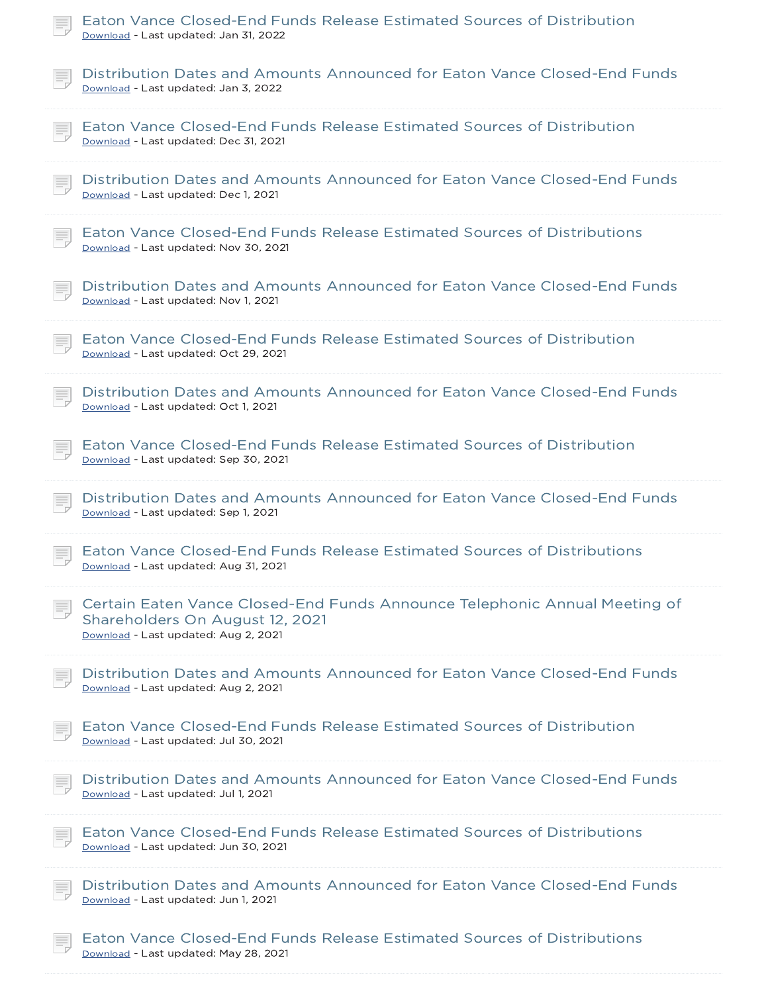| Eaton Vance Closed-End Funds Release Estimated Sources of Distribution<br>Download - Last updated: Jan 31, 2022                                       |
|-------------------------------------------------------------------------------------------------------------------------------------------------------|
| Distribution Dates and Amounts Announced for Eaton Vance Closed-End Funds<br>Download - Last updated: Jan 3, 2022                                     |
| Eaton Vance Closed-End Funds Release Estimated Sources of Distribution<br>Download - Last updated: Dec 31, 2021                                       |
| Distribution Dates and Amounts Announced for Eaton Vance Closed-End Funds<br>Download - Last updated: Dec 1, 2021                                     |
| Eaton Vance Closed-End Funds Release Estimated Sources of Distributions<br>Download - Last updated: Nov 30, 2021                                      |
| Distribution Dates and Amounts Announced for Eaton Vance Closed-End Funds<br>Download - Last updated: Nov 1, 2021                                     |
| Eaton Vance Closed-End Funds Release Estimated Sources of Distribution<br>Download - Last updated: Oct 29, 2021                                       |
| Distribution Dates and Amounts Announced for Eaton Vance Closed-End Funds<br>Download - Last updated: Oct 1, 2021                                     |
| Eaton Vance Closed-End Funds Release Estimated Sources of Distribution<br>Download - Last updated: Sep 30, 2021                                       |
| Distribution Dates and Amounts Announced for Eaton Vance Closed-End Funds<br>Download - Last updated: Sep 1, 2021                                     |
| Eaton Vance Closed-End Funds Release Estimated Sources of Distributions<br>Download - Last updated: Aug 31, 2021                                      |
| Certain Eaten Vance Closed-End Funds Announce Telephonic Annual Meeting of<br>Shareholders On August 12, 2021<br>Download - Last updated: Aug 2, 2021 |
| Distribution Dates and Amounts Announced for Eaton Vance Closed-End Funds<br>Download - Last updated: Aug 2, 2021                                     |
| Eaton Vance Closed-End Funds Release Estimated Sources of Distribution<br>Download - Last updated: Jul 30, 2021                                       |
| Distribution Dates and Amounts Announced for Eaton Vance Closed-End Funds<br>Download - Last updated: Jul 1, 2021                                     |
| Eaton Vance Closed-End Funds Release Estimated Sources of Distributions<br>Download - Last updated: Jun 30, 2021                                      |
| Distribution Dates and Amounts Announced for Eaton Vance Closed-End Funds<br>Download - Last updated: Jun 1, 2021                                     |
| Eaton Vance Closed-End Funds Release Estimated Sources of Distributions<br>Download - Last updated: May 28, 2021                                      |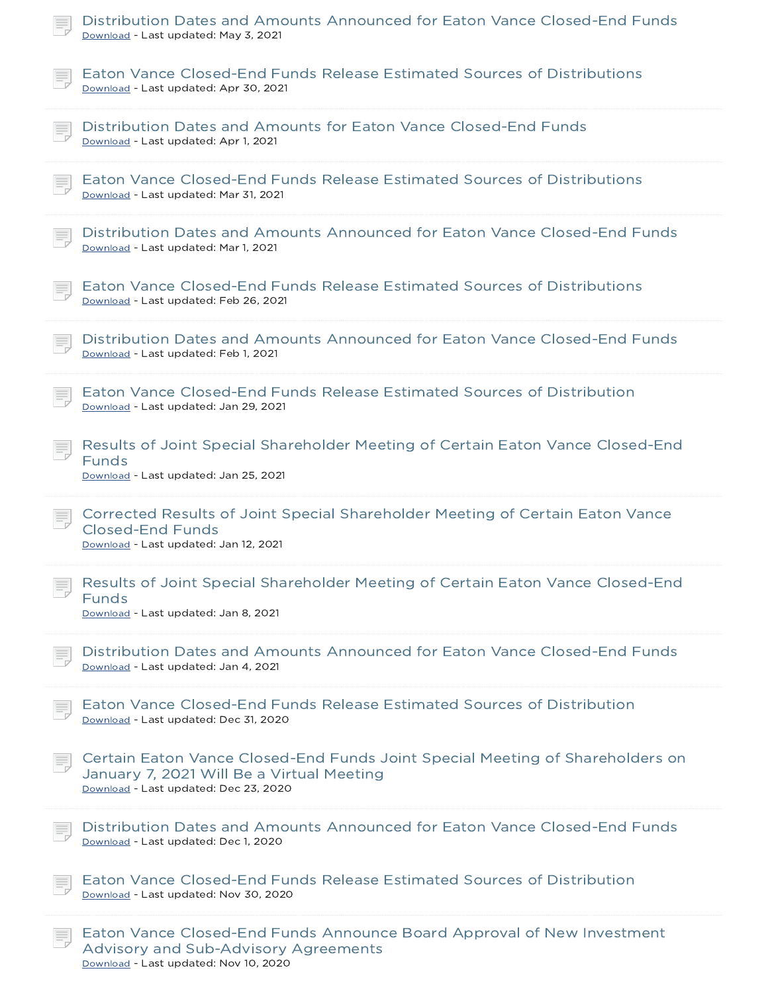| Distribution Dates and Amounts Announced for Eaton Vance Closed-End Funds<br>Download - Last updated: May 3, 2021                                                   |
|---------------------------------------------------------------------------------------------------------------------------------------------------------------------|
| Eaton Vance Closed-End Funds Release Estimated Sources of Distributions<br>Download - Last updated: Apr 30, 2021                                                    |
| Distribution Dates and Amounts for Eaton Vance Closed-End Funds<br>Download - Last updated: Apr 1, 2021                                                             |
| Eaton Vance Closed-End Funds Release Estimated Sources of Distributions<br>Download - Last updated: Mar 31, 2021                                                    |
| Distribution Dates and Amounts Announced for Eaton Vance Closed-End Funds<br>Download - Last updated: Mar 1, 2021                                                   |
| Eaton Vance Closed-End Funds Release Estimated Sources of Distributions<br>Download - Last updated: Feb 26, 2021                                                    |
| Distribution Dates and Amounts Announced for Eaton Vance Closed-End Funds<br>Download - Last updated: Feb 1, 2021                                                   |
| Eaton Vance Closed-End Funds Release Estimated Sources of Distribution<br>Download - Last updated: Jan 29, 2021                                                     |
| Results of Joint Special Shareholder Meeting of Certain Eaton Vance Closed-End<br>Funds<br>Download - Last updated: Jan 25, 2021                                    |
| Corrected Results of Joint Special Shareholder Meeting of Certain Eaton Vance<br><b>Closed-End Funds</b><br>Download - Last updated: Jan 12, 2021                   |
| Results of Joint Special Shareholder Meeting of Certain Eaton Vance Closed-End<br><b>Funds</b><br>Download - Last updated: Jan 8, 2021                              |
| Distribution Dates and Amounts Announced for Eaton Vance Closed-End Funds<br>Download - Last updated: Jan 4, 2021                                                   |
| Eaton Vance Closed-End Funds Release Estimated Sources of Distribution<br>Download - Last updated: Dec 31, 2020                                                     |
| Certain Eaton Vance Closed-End Funds Joint Special Meeting of Shareholders on<br>January 7, 2021 Will Be a Virtual Meeting<br>Download - Last updated: Dec 23, 2020 |
| Distribution Dates and Amounts Announced for Eaton Vance Closed-End Funds<br>Download - Last updated: Dec 1, 2020                                                   |
| Eaton Vance Closed-End Funds Release Estimated Sources of Distribution<br>Download - Last updated: Nov 30, 2020                                                     |
| Eaton Vance Closed-End Funds Announce Board Approval of New Investment<br>Advisory and Sub-Advisory Agreements                                                      |

Download - Last updated: Nov 10, 2020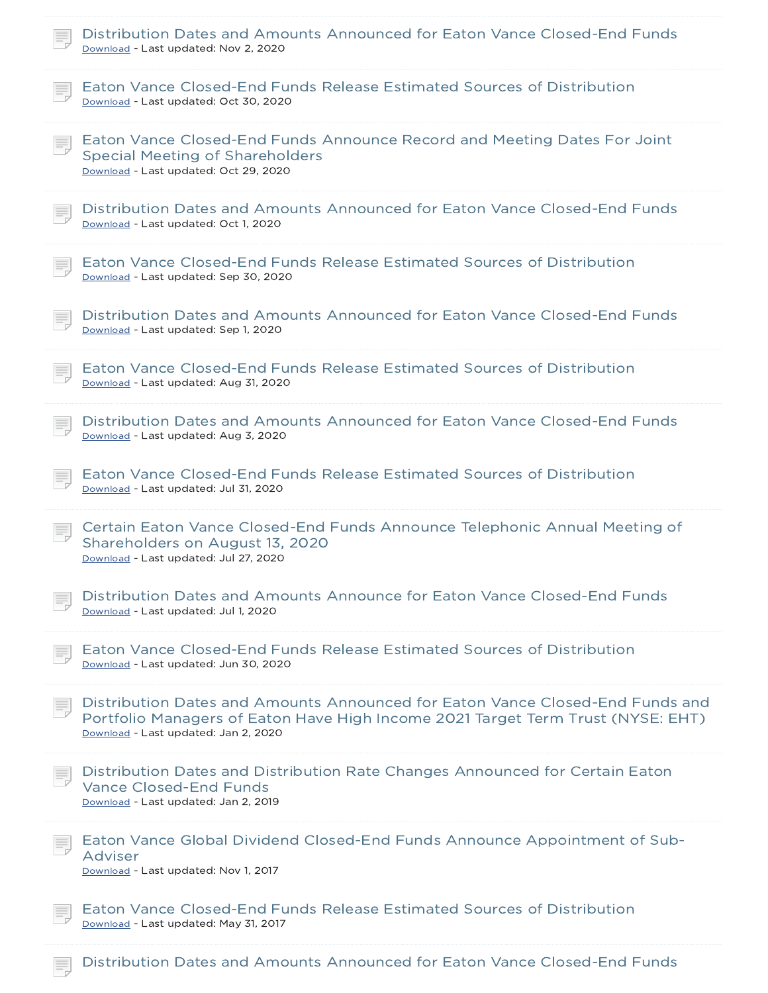| Distribution Dates and Amounts Announced for Eaton Vance Closed-End Funds<br>Download - Last updated: Nov 2, 2020                                                                                        |
|----------------------------------------------------------------------------------------------------------------------------------------------------------------------------------------------------------|
| Eaton Vance Closed-End Funds Release Estimated Sources of Distribution<br>Download - Last updated: Oct 30, 2020                                                                                          |
| Eaton Vance Closed-End Funds Announce Record and Meeting Dates For Joint<br><b>Special Meeting of Shareholders</b><br>Download - Last updated: Oct 29, 2020                                              |
| Distribution Dates and Amounts Announced for Eaton Vance Closed-End Funds<br>Download - Last updated: Oct 1, 2020                                                                                        |
| Eaton Vance Closed-End Funds Release Estimated Sources of Distribution<br>Download - Last updated: Sep 30, 2020                                                                                          |
| Distribution Dates and Amounts Announced for Eaton Vance Closed-End Funds<br>Download - Last updated: Sep 1, 2020                                                                                        |
| Eaton Vance Closed-End Funds Release Estimated Sources of Distribution<br>Download - Last updated: Aug 31, 2020                                                                                          |
| Distribution Dates and Amounts Announced for Eaton Vance Closed-End Funds<br>Download - Last updated: Aug 3, 2020                                                                                        |
| Eaton Vance Closed-End Funds Release Estimated Sources of Distribution<br>Download - Last updated: Jul 31, 2020                                                                                          |
| Certain Eaton Vance Closed-End Funds Announce Telephonic Annual Meeting of<br>Shareholders on August 13, 2020<br>Download - Last updated: Jul 27, 2020                                                   |
| Distribution Dates and Amounts Announce for Eaton Vance Closed-End Funds<br>Download - Last updated: Jul 1, 2020                                                                                         |
| Eaton Vance Closed-End Funds Release Estimated Sources of Distribution<br>Download - Last updated: Jun 30, 2020                                                                                          |
| Distribution Dates and Amounts Announced for Eaton Vance Closed-End Funds and<br>Portfolio Managers of Eaton Have High Income 2021 Target Term Trust (NYSE: EHT)<br>Download - Last updated: Jan 2, 2020 |
| Distribution Dates and Distribution Rate Changes Announced for Certain Eaton<br><b>Vance Closed-End Funds</b><br>Download - Last updated: Jan 2, 2019                                                    |
| Eaton Vance Global Dividend Closed-End Funds Announce Appointment of Sub-<br>Adviser<br>Download - Last updated: Nov 1, 2017                                                                             |
| Eaton Vance Closed-End Funds Release Estimated Sources of Distribution<br>Download - Last updated: May 31, 2017                                                                                          |

**Distribution Dates and Amounts Announced for Eaton Vance Closed-End Funds**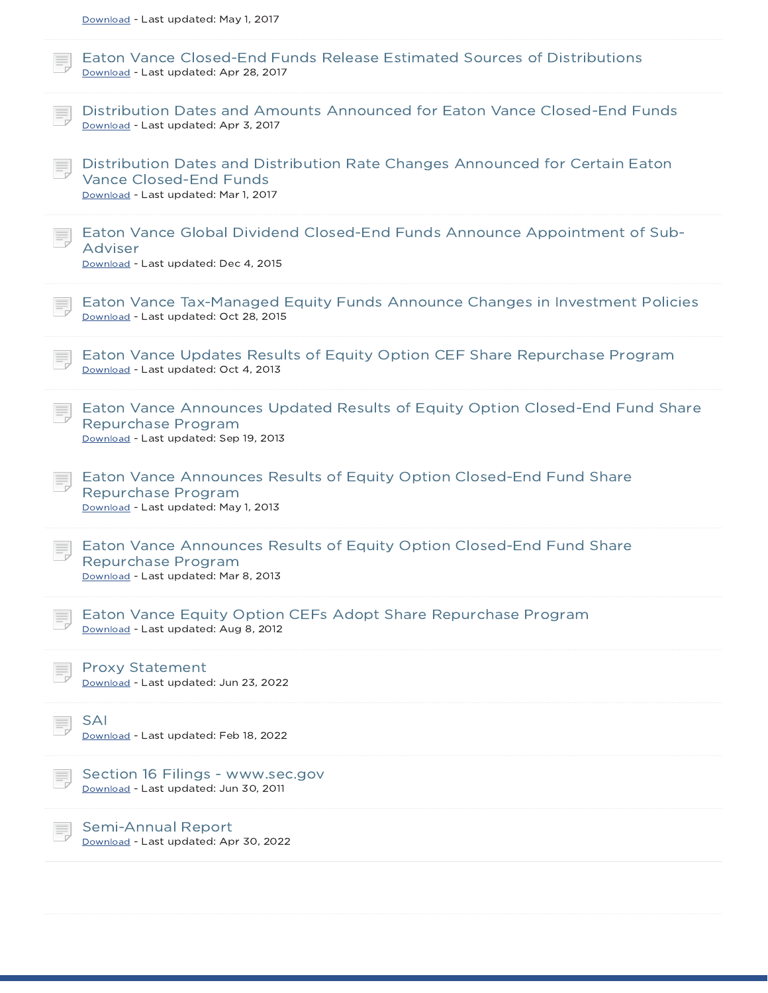| Download - Last updated: May 1, 2017                                                                                                                  |
|-------------------------------------------------------------------------------------------------------------------------------------------------------|
| Eaton Vance Closed-End Funds Release Estimated Sources of Distributions<br>Download - Last updated: Apr 28, 2017                                      |
| Distribution Dates and Amounts Announced for Eaton Vance Closed-End Funds<br>Download - Last updated: Apr 3, 2017                                     |
| Distribution Dates and Distribution Rate Changes Announced for Certain Eaton<br><b>Vance Closed-End Funds</b><br>Download - Last updated: Mar 1, 2017 |
| Eaton Vance Global Dividend Closed-End Funds Announce Appointment of Sub-<br>Adviser<br>Download - Last updated: Dec 4, 2015                          |
| Eaton Vance Tax-Managed Equity Funds Announce Changes in Investment Policies<br>Download - Last updated: Oct 28, 2015                                 |
| Eaton Vance Updates Results of Equity Option CEF Share Repurchase Program<br>Download - Last updated: Oct 4, 2013                                     |
| Eaton Vance Announces Updated Results of Equity Option Closed-End Fund Share<br>Repurchase Program<br>Download - Last updated: Sep 19, 2013           |
| Eaton Vance Announces Results of Equity Option Closed-End Fund Share<br>Repurchase Program<br>Download - Last updated: May 1, 2013                    |
| Eaton Vance Announces Results of Equity Option Closed-End Fund Share<br>Repurchase Program<br>Download - Last updated: Mar 8, 2013                    |
| Eaton Vance Equity Option CEFs Adopt Share Repurchase Program<br>Download - Last updated: Aug 8, 2012                                                 |
| <b>Proxy Statement</b><br>Download - Last updated: Jun 23, 2022                                                                                       |
| <b>SAI</b><br>Download - Last updated: Feb 18, 2022                                                                                                   |
| Section 16 Filings - www.sec.gov<br>Download - Last updated: Jun 30, 2011                                                                             |
| <b>Semi-Annual Report</b><br>Download - Last updated: Apr 30, 2022                                                                                    |
|                                                                                                                                                       |